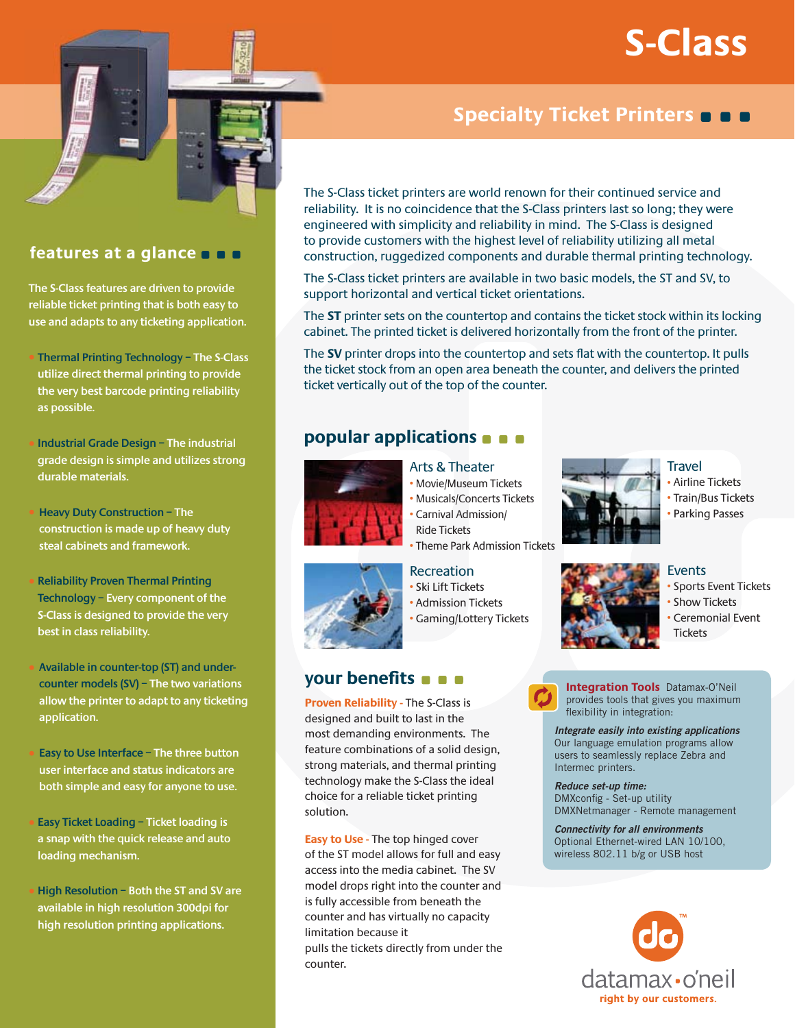# **S-Class**



# features at a glance **n n**

The S-Class features are driven to provide reliable ticket printing that is both easy to use and adapts to any ticketing application.

- Thermal Printing Technology The S-Class utilize direct thermal printing to provide the very best barcode printing reliability as possible.
- Industrial Grade Design The industrial grade design is simple and utilizes strong durable materials.
- **Heavy Duty Construction The** construction is made up of heavy duty steal cabinets and framework.
- **Reliability Proven Thermal Printing** Technology - Every component of the S-Class is designed to provide the very best in class reliability.
- Available in counter-top (ST) and undercounter models  $(SV)$  - The two variations allow the printer to adapt to any ticketing application.
- Easy to Use Interface The three button user interface and status indicators are both simple and easy for anyone to use.
- Easy Ticket Loading Ticket loading is a snap with the quick release and auto loading mechanism.
- High Resolution Both the ST and SV are available in high resolution 300dpi for high resolution printing applications.

# Specialty Ticket Printers **O D**

The S-Class ticket printers are world renown for their continued service and reliability. It is no coincidence that the S-Class printers last so long; they were engineered with simplicity and reliability in mind. The S-Class is designed to provide customers with the highest level of reliability utilizing all metal construction, ruggedized components and durable thermal printing technology.

The S-Class ticket printers are available in two basic models, the ST and SV, to support horizontal and vertical ticket orientations.

The ST printer sets on the countertop and contains the ticket stock within its locking cabinet. The printed ticket is delivered horizontally from the front of the printer.

The SV printer drops into the countertop and sets flat with the countertop. It pulls the ticket stock from an open area beneath the counter, and delivers the printed ticket vertically out of the top of the counter.

# popular applications **a** a



# **Arts & Theater**

- Movie/Museum Tickets
- Musicals/Concerts Tickets
- · Carnival Admission/
- Theme Park Admission Tickets

# your benefits **a a**

**Proven Reliability - The S-Class is** designed and built to last in the most demanding environments. The feature combinations of a solid design, strong materials, and thermal printing technology make the S-Class the ideal choice for a reliable ticket printing solution.

**Easy to Use - The top hinged cover** of the ST model allows for full and easy access into the media cabinet. The SV model drops right into the counter and is fully accessible from beneath the counter and has virtually no capacity limitation because it

pulls the tickets directly from under the counter.



### **Travel** · Airline Tickets • Train/Bus Tickets

• Parking Passes



# **Events**

**Tickets** 

· Sports Event Tickets • Show Tickets • Ceremonial Event

**Integration Tools** Datamax-O'Neil

provides tools that gives you maximum flexibility in integration:

Integrate easily into existing applications Our language emulation programs allow users to seamlessly replace Zebra and Intermec printers.

Reduce set-up time: DMXconfig - Set-up utility DMXNetmanager - Remote management

**Connectivity for all environments** Optional Ethernet-wired LAN 10/100, wireless 802.11 b/g or USB host



**Ride Tickets** 

# **Recreation**

· Ski Lift Tickets • Admission Tickets · Gaming/Lottery Tickets